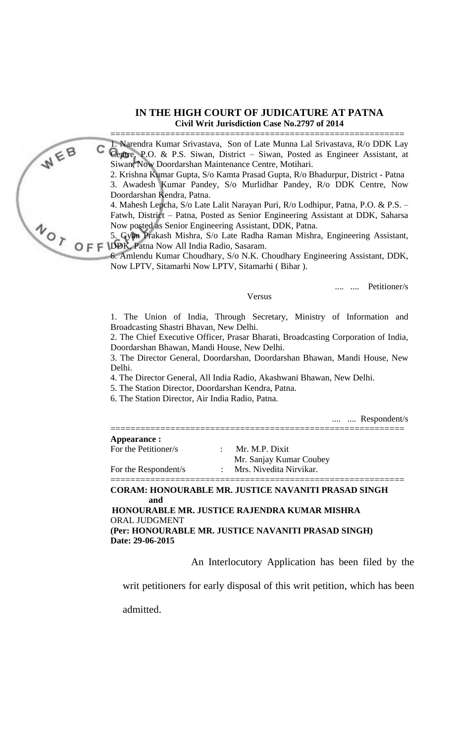## **IN THE HIGH COURT OF JUDICATURE AT PATNA Civil Writ Jurisdiction Case No.2797 of 2014**

===========================================================

1. Narendra Kumar Srivastava, Son of Late Munna Lal Srivastava, R/o DDK Lay C 1. Ivatemua Islama Strustation, Son 21 – 2011<br>Centre, P.O. & P.S. Siwan, District – Siwan, Posted as Engineer Assistant, at Siwan, Now Doordarshan Maintenance Centre, Motihari.

2. Krishna Kumar Gupta, S/o Kamta Prasad Gupta, R/o Bhadurpur, District - Patna 3. Awadesh Kumar Pandey, S/o Murlidhar Pandey, R/o DDK Centre, Now Doordarshan Kendra, Patna.

4. Mahesh Lepcha, S/o Late Lalit Narayan Puri, R/o Lodhipur, Patna, P.O. & P.S. – Fatwh, District – Patna, Posted as Senior Engineering Assistant at DDK, Saharsa Now posted as Senior Engineering Assistant, DDK, Patna.

5. Gyan Prakash Mishra, S/o Late Radha Raman Mishra, Engineering Assistant, Now poster and S. Gyan Prakash Mishra, S/o Late Nature 1997<br>
O F F DDK, Patna Now All India Radio, Sasaram.<br>
4 Amlendu Kumar Choudhary, S/o N.K. Chevy Site

6. Amlendu Kumar Choudhary, S/o N.K. Choudhary Engineering Assistant, DDK, Now LPTV, Sitamarhi Now LPTV, Sitamarhi ( Bihar ).

.... .... Petitioner/s

Versus

1. The Union of India, Through Secretary, Ministry of Information and Broadcasting Shastri Bhavan, New Delhi.

2. The Chief Executive Officer, Prasar Bharati, Broadcasting Corporation of India, Doordarshan Bhawan, Mandi House, New Delhi.

3. The Director General, Doordarshan, Doordarshan Bhawan, Mandi House, New Delhi.

4. The Director General, All India Radio, Akashwani Bhawan, New Delhi.

5. The Station Director, Doordarshan Kendra, Patna.

6. The Station Director, Air India Radio, Patna.

.... .... Respondent/s

| Appearance :         |                         |  |
|----------------------|-------------------------|--|
| For the Petitioner/s | Mr. M.P. Dixit          |  |
|                      | Mr. Sanjay Kumar Coubey |  |
| For the Respondent/s | Mrs. Nivedita Nirvikar. |  |

## **CORAM: HONOURABLE MR. JUSTICE NAVANITI PRASAD SINGH and**

 **HONOURABLE MR. JUSTICE RAJENDRA KUMAR MISHRA** ORAL JUDGMENT **(Per: HONOURABLE MR. JUSTICE NAVANITI PRASAD SINGH) Date: 29-06-2015**

An Interlocutory Application has been filed by the

writ petitioners for early disposal of this writ petition, which has been

admitted.

WEB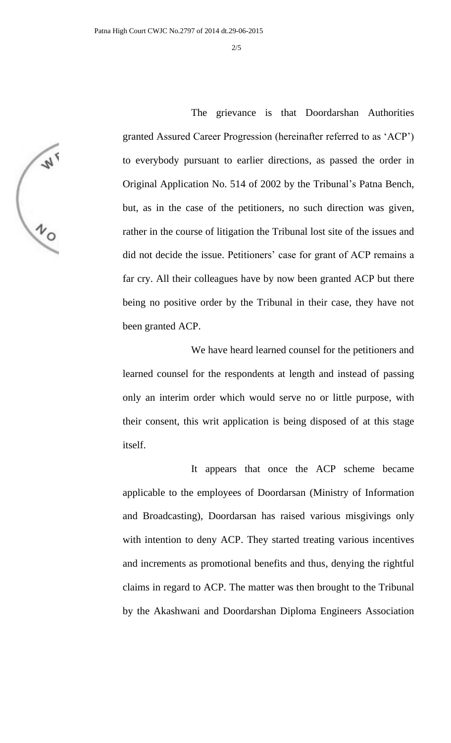**W MO** 

The grievance is that Doordarshan Authorities granted Assured Career Progression (hereinafter referred to as 'ACP') to everybody pursuant to earlier directions, as passed the order in Original Application No. 514 of 2002 by the Tribunal's Patna Bench, but, as in the case of the petitioners, no such direction was given, rather in the course of litigation the Tribunal lost site of the issues and did not decide the issue. Petitioners' case for grant of ACP remains a far cry. All their colleagues have by now been granted ACP but there being no positive order by the Tribunal in their case, they have not been granted ACP.

We have heard learned counsel for the petitioners and learned counsel for the respondents at length and instead of passing only an interim order which would serve no or little purpose, with their consent, this writ application is being disposed of at this stage itself.

It appears that once the ACP scheme became applicable to the employees of Doordarsan (Ministry of Information and Broadcasting), Doordarsan has raised various misgivings only with intention to deny ACP. They started treating various incentives and increments as promotional benefits and thus, denying the rightful claims in regard to ACP. The matter was then brought to the Tribunal by the Akashwani and Doordarshan Diploma Engineers Association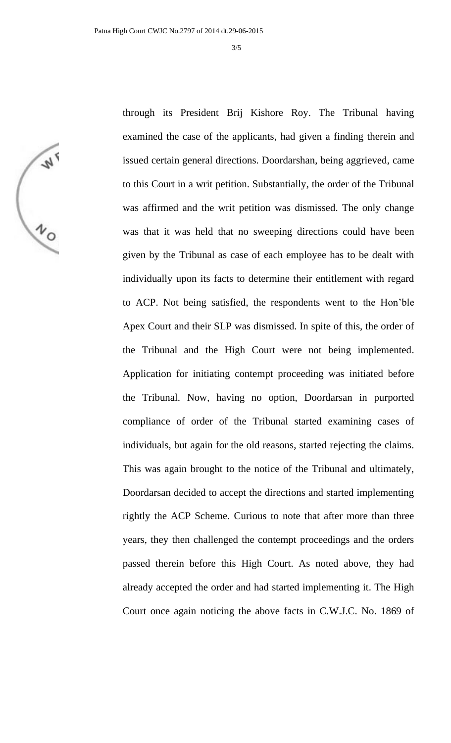through its President Brij Kishore Roy. The Tribunal having

**W** 

examined the case of the applicants, had given a finding therein and issued certain general directions. Doordarshan, being aggrieved, came to this Court in a writ petition. Substantially, the order of the Tribunal was affirmed and the writ petition was dismissed. The only change was that it was held that no sweeping directions could have been given by the Tribunal as case of each employee has to be dealt with individually upon its facts to determine their entitlement with regard to ACP. Not being satisfied, the respondents went to the Hon'ble Apex Court and their SLP was dismissed. In spite of this, the order of the Tribunal and the High Court were not being implemented. Application for initiating contempt proceeding was initiated before the Tribunal. Now, having no option, Doordarsan in purported compliance of order of the Tribunal started examining cases of individuals, but again for the old reasons, started rejecting the claims. This was again brought to the notice of the Tribunal and ultimately, Doordarsan decided to accept the directions and started implementing rightly the ACP Scheme. Curious to note that after more than three years, they then challenged the contempt proceedings and the orders passed therein before this High Court. As noted above, they had already accepted the order and had started implementing it. The High Court once again noticing the above facts in C.W.J.C. No. 1869 of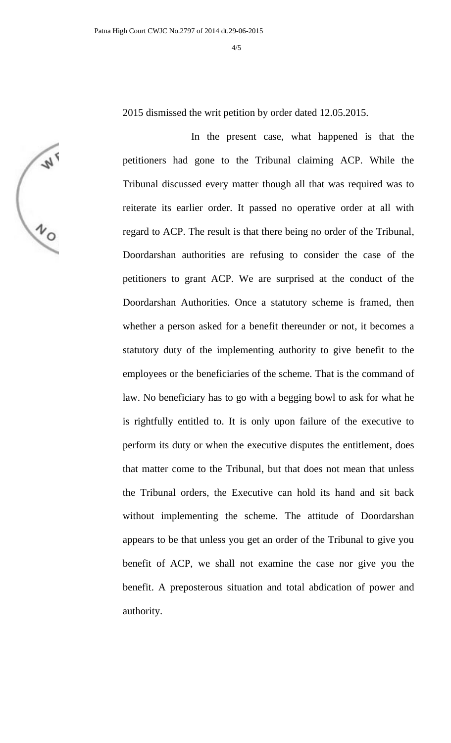2015 dismissed the writ petition by order dated 12.05.2015.

**W** 

In the present case, what happened is that the petitioners had gone to the Tribunal claiming ACP. While the Tribunal discussed every matter though all that was required was to reiterate its earlier order. It passed no operative order at all with regard to ACP. The result is that there being no order of the Tribunal, Doordarshan authorities are refusing to consider the case of the petitioners to grant ACP. We are surprised at the conduct of the Doordarshan Authorities. Once a statutory scheme is framed, then whether a person asked for a benefit thereunder or not, it becomes a statutory duty of the implementing authority to give benefit to the employees or the beneficiaries of the scheme. That is the command of law. No beneficiary has to go with a begging bowl to ask for what he is rightfully entitled to. It is only upon failure of the executive to perform its duty or when the executive disputes the entitlement, does that matter come to the Tribunal, but that does not mean that unless the Tribunal orders, the Executive can hold its hand and sit back without implementing the scheme. The attitude of Doordarshan appears to be that unless you get an order of the Tribunal to give you benefit of ACP, we shall not examine the case nor give you the benefit. A preposterous situation and total abdication of power and authority.